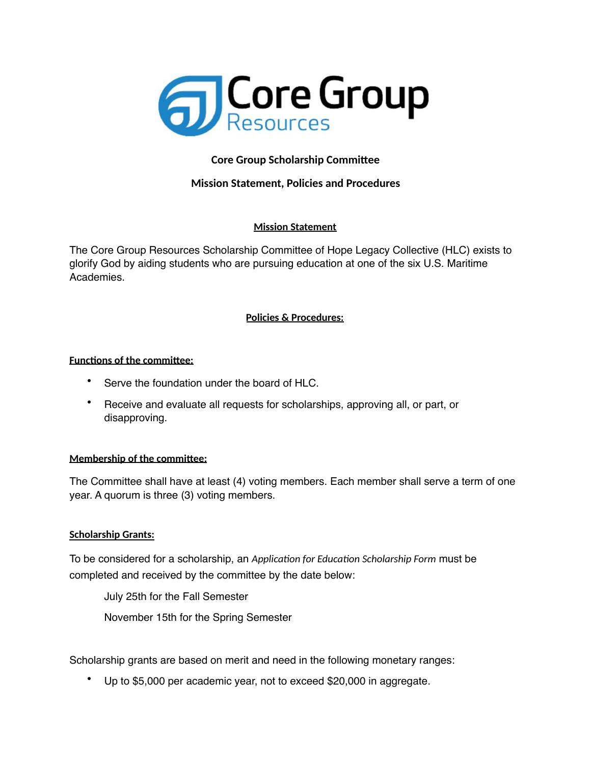

# **Core Group Scholarship Committee**

# **Mission Statement, Policies and Procedures**

## **Mission Statement**

The Core Group Resources Scholarship Committee of Hope Legacy Collective (HLC) exists to glorify God by aiding students who are pursuing education at one of the six U.S. Maritime Academies.

## **Policies & Procedures:**

## **Functions of the committee:**

- Serve the foundation under the board of HLC.
- Receive and evaluate all requests for scholarships, approving all, or part, or disapproving.

## **Membership of the committee:**

The Committee shall have at least (4) voting members. Each member shall serve a term of one year. A quorum is three (3) voting members.

## **Scholarship Grants:**

To be considered for a scholarship, an *Application for Education Scholarship Form* must be completed and received by the committee by the date below:

July 25th for the Fall Semester

November 15th for the Spring Semester

Scholarship grants are based on merit and need in the following monetary ranges:

• Up to \$5,000 per academic year, not to exceed \$20,000 in aggregate.